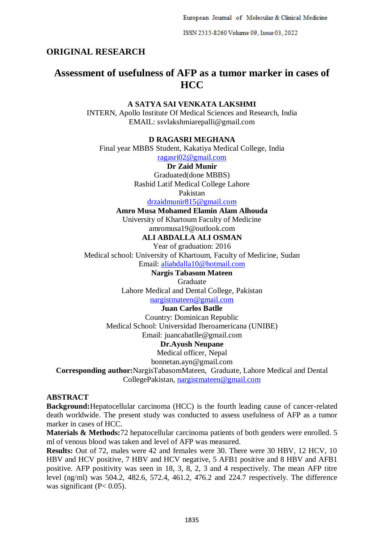European Journal of Molecular & Clinical Medicine

ISSN 2515-8260 Volume 09, Issue 03, 2022

# **ORIGINAL RESEARCH**

# **Assessment of usefulness of AFP as a tumor marker in cases of HCC**

### **A SATYA SAI VENKATA LAKSHMI**

INTERN, Apollo Institute Of Medical Sciences and Research, India EMAIL: ssvlakshmiarepalli@gmail.com

## **D RAGASRI MEGHANA**

Final year MBBS Student, Kakatiya Medical College, India

[ragasri02@gmail.com](mailto:ragasri02@gmail.com)

# **Dr Zaid Munir**

Graduated(done MBBS) Rashid Latif Medical College Lahore

Pakistan

[drzaidmunir815@gmail.com](mailto:drzaidmunir815@gmail.com)

# **Amro Musa Mohamed Elamin Alam Alhouda**

University of Khartoum Faculty of Medicine amromusa19@outlook.com

**ALI ABDALLA ALI OSMAN**

Year of graduation: 2016 Medical school: University of Khartoum, Faculty of Medicine, Sudan Email: [aliabdalla10@hotmail.com](mailto:aliabdalla10@hotmail.com)

# **Nargis Tabasom Mateen**

Graduate

Lahore Medical and Dental College, Pakistan

[nargistmateen@gmail.com](mailto:nargistmateen@gmail.com)

### **Juan Carlos Batlle**

Country: Dominican Republic Medical School: Universidad Iberoamericana (UNIBE) Email: juancabatlle@gmail.com **Dr.Ayush Neupane**

# Medical officer, Nepal

bonnetan.ayn@gmail.com

**Corresponding author:**NargisTabasomMateen, Graduate, Lahore Medical and Dental CollegePakistan, [nargistmateen@gmail.com](mailto:nargistmateen@gmail.com)

## **ABSTRACT**

**Background:**Hepatocellular carcinoma (HCC) is the fourth leading cause of cancer-related death worldwide. The present study was conducted to assess usefulness of AFP as a tumor marker in cases of HCC.

**Materials & Methods:**72 hepatocellular carcinoma patients of both genders were enrolled. 5 ml of venous blood was taken and level of AFP was measured.

**Results:** Out of 72, males were 42 and females were 30. There were 30 HBV, 12 HCV, 10 HBV and HCV positive, 7 HBV and HCV negative, 5 AFB1 positive and 8 HBV and AFB1 positive. AFP positivity was seen in 18, 3, 8, 2, 3 and 4 respectively. The mean AFP titre level (ng/ml) was 504.2, 482.6, 572.4, 461.2, 476.2 and 224.7 respectively. The difference was significant  $(P< 0.05)$ .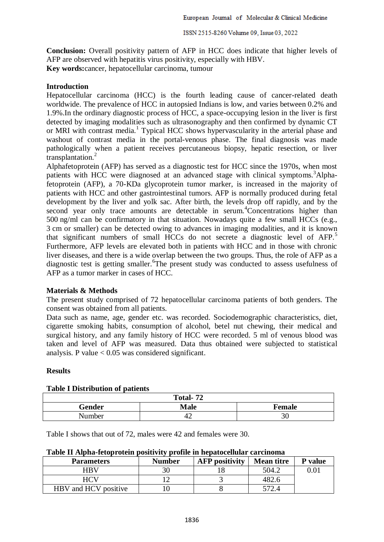ISSN 2515-8260 Volume 09, Issue 03, 2022

**Conclusion:** Overall positivity pattern of AFP in HCC does indicate that higher levels of AFP are observed with hepatitis virus positivity, especially with HBV.

**Key words:**cancer, hepatocellular carcinoma, tumour

## **Introduction**

Hepatocellular carcinoma (HCC) is the fourth leading cause of cancer-related death worldwide. The prevalence of HCC in autopsied Indians is low, and varies between 0.2% and 1.9%.In the ordinary diagnostic process of HCC, a space-occupying lesion in the liver is first detected by imaging modalities such as ultrasonography and then confirmed by dynamic CT or MRI with contrast media.<sup>1</sup> Typical HCC shows hypervascularity in the arterial phase and washout of contrast media in the portal-venous phase. The final diagnosis was made pathologically when a patient receives percutaneous biopsy, hepatic resection, or liver transplantation.<sup>2</sup>

Alphafetoprotein (AFP) has served as a diagnostic test for HCC since the 1970s, when most patients with HCC were diagnosed at an advanced stage with clinical symptoms.<sup>3</sup>Alphafetoprotein (AFP), a 70-KDa glycoprotein tumor marker, is increased in the majority of patients with HCC and other gastrointestinal tumors. AFP is normally produced during fetal development by the liver and yolk sac. After birth, the levels drop off rapidly, and by the second year only trace amounts are detectable in serum.<sup>4</sup>Concentrations higher than 500 ng/ml can be confirmatory in that situation. Nowadays quite a few small HCCs (e.g., 3 cm or smaller) can be detected owing to advances in imaging modalities, and it is known that significant numbers of small HCCs do not secrete a diagnostic level of  $AFP<sub>1</sub>$ <sup>5</sup> Furthermore, AFP levels are elevated both in patients with HCC and in those with chronic liver diseases, and there is a wide overlap between the two groups. Thus, the role of AFP as a diagnostic test is getting smaller. <sup>6</sup>The present study was conducted to assess usefulness of AFP as a tumor marker in cases of HCC.

#### **Materials & Methods**

The present study comprised of 72 hepatocellular carcinoma patients of both genders. The consent was obtained from all patients.

Data such as name, age, gender etc. was recorded. Sociodemographic characteristics, diet, cigarette smoking habits, consumption of alcohol, betel nut chewing, their medical and surgical history, and any family history of HCC were recorded. 5 ml of venous blood was taken and level of AFP was measured. Data thus obtained were subjected to statistical analysis. P value  $< 0.05$  was considered significant.

# **Results**

| Total-72 |             |        |  |  |  |  |
|----------|-------------|--------|--|--|--|--|
| Gender   | <b>Male</b> | Female |  |  |  |  |
| Number   | 44          | 30     |  |  |  |  |

#### **Table I Distribution of patients**

Table I shows that out of 72, males were 42 and females were 30.

#### **Table II Alpha-fetoprotein positivity profile in hepatocellular carcinoma**

| <b>Parameters</b>    | <b>Number</b> | <b>AFP</b> positivity | <b>Mean titre</b> | <b>P</b> value |
|----------------------|---------------|-----------------------|-------------------|----------------|
| HRV                  |               |                       | 504.2             |                |
|                      |               |                       | 482.6             |                |
| HBV and HCV positive |               |                       |                   |                |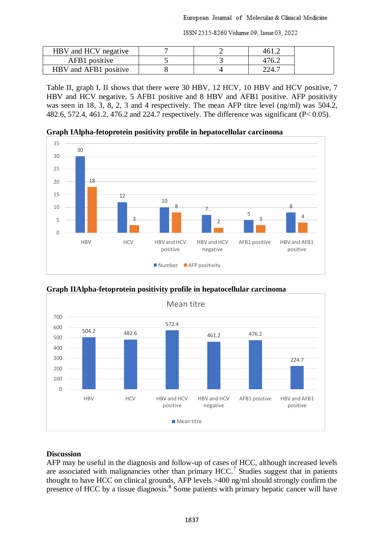ISSN 2515-8260 Volume 09, Issue 03, 2022

| HBV and HCV negative  |  |       |  |
|-----------------------|--|-------|--|
| AFB1 positive         |  | .76   |  |
| HBV and AFB1 positive |  | 224.1 |  |

Table II, graph I, II shows that there were 30 HBV, 12 HCV, 10 HBV and HCV positive, 7 HBV and HCV negative, 5 AFB1 positive and 8 HBV and AFB1 positive. AFP positivity was seen in 18, 3, 8, 2, 3 and 4 respectively. The mean AFP titre level (ng/ml) was 504.2, 482.6, 572.4, 461.2, 476.2 and 224.7 respectively. The difference was significant (P< 0.05).

**Graph IAlpha-fetoprotein positivity profile in hepatocellular carcinoma**





**Graph IIAlpha-fetoprotein positivity profile in hepatocellular carcinoma**

# **Discussion**

AFP may be useful in the diagnosis and follow-up of cases of HCC, although increased levels are associated with malignancies other than primary  $HCC$ .<sup>7</sup> Studies suggest that in patients thought to have HCC on clinical grounds, AFP levels >400 ng/ml should strongly confirm the presence of HCC by a tissue diagnosis.<sup>8</sup> Some patients with primary hepatic cancer will have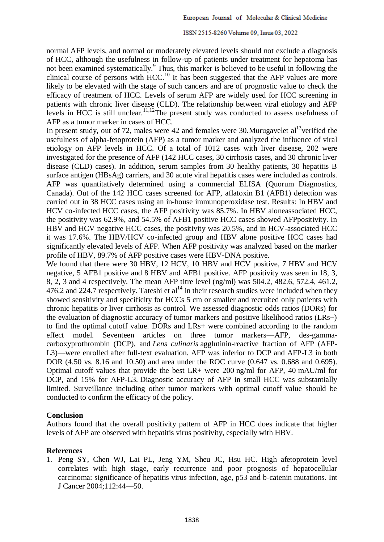#### ISSN 2515-8260 Volume 09, Issue 03, 2022

normal AFP levels, and normal or moderately elevated levels should not exclude a diagnosis of HCC, although the usefulness in follow-up of patients under treatment for hepatoma has not been examined systematically.<sup>9</sup> Thus, this marker is believed to be useful in following the clinical course of persons with HCC.<sup>10</sup> It has been suggested that the AFP values are more likely to be elevated with the stage of such cancers and are of prognostic value to check the efficacy of treatment of HCC. Levels of serum AFP are widely used for HCC screening in patients with chronic liver disease (CLD). The relationship between viral etiology and AFP levels in HCC is still unclear.11,12The present study was conducted to assess usefulness of AFP as a tumor marker in cases of HCC.

In present study, out of 72, males were 42 and females were 30. Murugavelet  $al<sup>13</sup>$  verified the usefulness of alpha-fetoprotein (AFP) as a tumor marker and analyzed the influence of viral etiology on AFP levels in HCC. Of a total of 1012 cases with liver disease, 202 were investigated for the presence of AFP (142 HCC cases, 30 cirrhosis cases, and 30 chronic liver disease (CLD) cases). In addition, serum samples from 30 healthy patients, 30 hepatitis B surface antigen (HBsAg) carriers, and 30 acute viral hepatitis cases were included as controls. AFP was quantitatively determined using a commercial ELISA (Quorum Diagnostics, Canada). Out of the 142 HCC cases screened for AFP, aflatoxin B1 (AFB1) detection was carried out in 38 HCC cases using an in-house immunoperoxidase test. Results: In HBV and HCV co-infected HCC cases, the AFP positivity was 85.7%. In HBV aloneassociated HCC, the positivity was 62.9%, and 54.5% of AFB1 positive HCC cases showed AFPpositivity. In HBV and HCV negative HCC cases, the positivity was 20.5%, and in HCV-associated HCC it was 17.6%. The HBV/HCV co-infected group and HBV alone positive HCC cases had significantly elevated levels of AFP. When AFP positivity was analyzed based on the marker profile of HBV, 89.7% of AFP positive cases were HBV-DNA positive.

We found that there were 30 HBV, 12 HCV, 10 HBV and HCV positive, 7 HBV and HCV negative, 5 AFB1 positive and 8 HBV and AFB1 positive. AFP positivity was seen in 18, 3, 8, 2, 3 and 4 respectively. The mean AFP titre level (ng/ml) was 504.2, 482.6, 572.4, 461.2, 476.2 and 224.7 respectively. Tateshi et  $al<sup>14</sup>$  in their research studies were included when they showed sensitivity and specificity for HCCs 5 cm or smaller and recruited only patients with chronic hepatitis or liver cirrhosis as control. We assessed diagnostic odds ratios (DORs) for the evaluation of diagnostic accuracy of tumor markers and positive likelihood ratios (LRs+) to find the optimal cutoff value. DORs and LRs+ were combined according to the random effect model. Seventeen articles on three tumor markers—AFP, des-gammacarboxyprothrombin (DCP), and *Lens culinaris* agglutinin-reactive fraction of AFP (AFP-L3)—were enrolled after full-text evaluation. AFP was inferior to DCP and AFP-L3 in both DOR (4.50 vs. 8.16 and 10.50) and area under the ROC curve (0.647 vs. 0.688 and 0.695). Optimal cutoff values that provide the best LR+ were 200 ng/ml for AFP, 40 mAU/ml for DCP, and 15% for AFP-L3. Diagnostic accuracy of AFP in small HCC was substantially limited. Surveillance including other tumor markers with optimal cutoff value should be conducted to confirm the efficacy of the policy.

#### **Conclusion**

Authors found that the overall positivity pattern of AFP in HCC does indicate that higher levels of AFP are observed with hepatitis virus positivity, especially with HBV.

#### **References**

1. Peng SY, Chen WJ, Lai PL, Jeng YM, Sheu JC, Hsu HC. High afetoprotein level correlates with high stage, early recurrence and poor prognosis of hepatocellular carcinoma: significance of hepatitis virus infection, age, p53 and b-catenin mutations. Int J Cancer 2004;112:44—50.